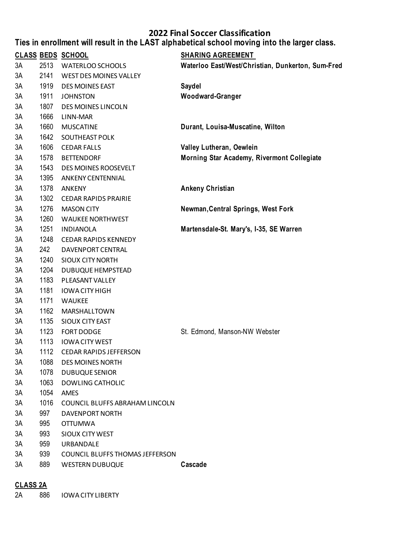#### **Ties in enrollment will result in the LAST alphabetical school moving into the larger class.**

|    |      | <b>CLASS BEDS SCHOOL</b>        | <b>SHARING AGREEMENT</b>                          |
|----|------|---------------------------------|---------------------------------------------------|
| 3A |      | 2513 WATERLOO SCHOOLS           | Waterloo East/West/Christian, Dunkerton, Sum-Fred |
| 3A | 2141 | WEST DES MOINES VALLEY          |                                                   |
| 3A | 1919 | DES MOINES EAST                 | <b>Saydel</b>                                     |
| 3A | 1911 | <b>JOHNSTON</b>                 | Woodward-Granger                                  |
| 3A | 1807 | DES MOINES LINCOLN              |                                                   |
| 3A | 1666 | LINN-MAR                        |                                                   |
| 3A | 1660 | <b>MUSCATINE</b>                | Durant, Louisa-Muscatine, Wilton                  |
| 3A | 1642 | SOUTHEAST POLK                  |                                                   |
| 3A | 1606 | <b>CEDAR FALLS</b>              | Valley Lutheran, Oewlein                          |
| 3A | 1578 | <b>BETTENDORF</b>               | Morning Star Academy, Rivermont Collegiate        |
| 3A | 1543 | DES MOINES ROOSEVELT            |                                                   |
| 3A | 1395 | ANKENY CENTENNIAL               |                                                   |
| 3A | 1378 | <b>ANKENY</b>                   | <b>Ankeny Christian</b>                           |
| 3A | 1302 | <b>CEDAR RAPIDS PRAIRIE</b>     |                                                   |
| 3A | 1276 | <b>MASON CITY</b>               | Newman, Central Springs, West Fork                |
| 3A | 1260 | <b>WAUKEE NORTHWEST</b>         |                                                   |
| 3A | 1251 | <b>INDIANOLA</b>                | Martensdale-St. Mary's, I-35, SE Warren           |
| 3A | 1248 | <b>CEDAR RAPIDS KENNEDY</b>     |                                                   |
| 3A | 242  | DAVENPORT CENTRAL               |                                                   |
| 3A | 1240 | <b>SIOUX CITY NORTH</b>         |                                                   |
| 3A | 1204 | <b>DUBUQUE HEMPSTEAD</b>        |                                                   |
| 3A | 1183 | PLEASANT VALLEY                 |                                                   |
| 3A | 1181 | <b>IOWA CITY HIGH</b>           |                                                   |
| 3A | 1171 | <b>WAUKEE</b>                   |                                                   |
| 3A | 1162 | MARSHALLTOWN                    |                                                   |
| 3A | 1135 | SIOUX CITY EAST                 |                                                   |
| 3A | 1123 | <b>FORT DODGE</b>               | St. Edmond, Manson-NW Webster                     |
| 3A | 1113 | <b>IOWA CITY WEST</b>           |                                                   |
| 3A |      | 1112 CEDAR RAPIDS JEFFERSON     |                                                   |
| 3A | 1088 | <b>DES MOINES NORTH</b>         |                                                   |
| 3A | 1078 | <b>DUBUQUE SENIOR</b>           |                                                   |
| 3A | 1063 | <b>DOWLING CATHOLIC</b>         |                                                   |
| 3A | 1054 | AMES                            |                                                   |
| 3A | 1016 | COUNCIL BLUFFS ABRAHAM LINCOLN  |                                                   |
| 3A | 997  | DAVENPORT NORTH                 |                                                   |
| 3A | 995  | <b>OTTUMWA</b>                  |                                                   |
| 3A | 993  | SIOUX CITY WEST                 |                                                   |
| 3A | 959  | URBANDALE                       |                                                   |
| 3A | 939  | COUNCIL BLUFFS THOMAS JEFFERSON |                                                   |
| 3A | 889  | <b>WESTERN DUBUQUE</b>          | Cascade                                           |
|    |      |                                 |                                                   |

## **CLASS 2A**

2A 886 IOWA CITY LIBERTY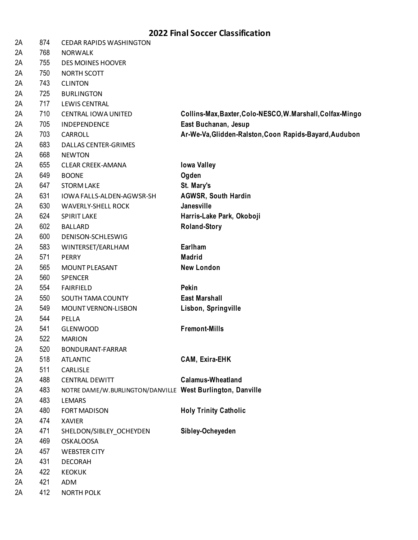| 2A | 874 | <b>CEDAR RAPIDS WASHINGTON</b>                             |                                                            |
|----|-----|------------------------------------------------------------|------------------------------------------------------------|
| 2A | 768 | <b>NORWALK</b>                                             |                                                            |
| 2A | 755 | <b>DES MOINES HOOVER</b>                                   |                                                            |
| 2A | 750 | NORTH SCOTT                                                |                                                            |
| 2A | 743 | <b>CLINTON</b>                                             |                                                            |
| 2A | 725 | <b>BURLINGTON</b>                                          |                                                            |
| 2A | 717 | <b>LEWIS CENTRAL</b>                                       |                                                            |
| 2A | 710 | CENTRAL IOWA UNITED                                        | Collins-Max, Baxter, Colo-NESCO, W. Marshall, Colfax-Mingo |
| 2A | 705 | INDEPENDENCE                                               | East Buchanan, Jesup                                       |
| 2A | 703 | CARROLL                                                    | Ar-We-Va, Glidden-Ralston, Coon Rapids-Bayard, Audubon     |
| 2A | 683 | <b>DALLAS CENTER-GRIMES</b>                                |                                                            |
| 2A | 668 | <b>NEWTON</b>                                              |                                                            |
| 2A | 655 | <b>CLEAR CREEK-AMANA</b>                                   | <b>Iowa Valley</b>                                         |
| 2A | 649 | <b>BOONE</b>                                               | Ogden                                                      |
| 2A | 647 | <b>STORM LAKE</b>                                          | St. Mary's                                                 |
| 2A | 631 | IOWA FALLS-ALDEN-AGWSR-SH                                  | <b>AGWSR, South Hardin</b>                                 |
| 2A | 630 | <b>WAVERLY-SHELL ROCK</b>                                  | Janesville                                                 |
| 2A | 624 | SPIRIT LAKE                                                | Harris-Lake Park, Okoboji                                  |
| 2A | 602 | <b>BALLARD</b>                                             | <b>Roland-Story</b>                                        |
| 2A | 600 | DENISON-SCHLESWIG                                          |                                                            |
| 2A | 583 | WINTERSET/EARLHAM                                          | Earlham                                                    |
| 2A | 571 | <b>PERRY</b>                                               | <b>Madrid</b>                                              |
| 2A | 565 | MOUNT PLEASANT                                             | <b>New London</b>                                          |
| 2A | 560 | <b>SPENCER</b>                                             |                                                            |
| 2A | 554 | <b>FAIRFIELD</b>                                           | Pekin                                                      |
| 2A | 550 | SOUTH TAMA COUNTY                                          | <b>East Marshall</b>                                       |
| 2A | 549 | MOUNT VERNON-LISBON                                        | Lisbon, Springville                                        |
| 2A | 544 | PELLA                                                      |                                                            |
| 2A | 541 | <b>GLENWOOD</b>                                            | <b>Fremont-Mills</b>                                       |
| 2A | 522 | <b>MARION</b>                                              |                                                            |
| 2A | 520 | BONDURANT-FARRAR                                           |                                                            |
| 2A | 518 | <b>ATLANTIC</b>                                            | <b>CAM, Exira-EHK</b>                                      |
| 2A | 511 | CARLISLE                                                   |                                                            |
| 2A | 488 | <b>CENTRAL DEWITT</b>                                      | <b>Calamus-Wheatland</b>                                   |
| 2A | 483 | NOTRE DAME/W.BURLINGTON/DANVILLE West Burlington, Danville |                                                            |
| 2A | 483 | <b>LEMARS</b>                                              |                                                            |
| 2A | 480 | FORT MADISON                                               | <b>Holy Trinity Catholic</b>                               |
| 2A | 474 | <b>XAVIER</b>                                              |                                                            |
| 2A | 471 | SHELDON/SIBLEY_OCHEYDEN                                    | Sibley-Ocheyeden                                           |
| 2A | 469 | <b>OSKALOOSA</b>                                           |                                                            |
| 2A | 457 | <b>WEBSTER CITY</b>                                        |                                                            |
| 2A | 431 | <b>DECORAH</b>                                             |                                                            |
| 2A | 422 | <b>KEOKUK</b>                                              |                                                            |
| 2A | 421 | ADM                                                        |                                                            |
| 2A | 412 | <b>NORTH POLK</b>                                          |                                                            |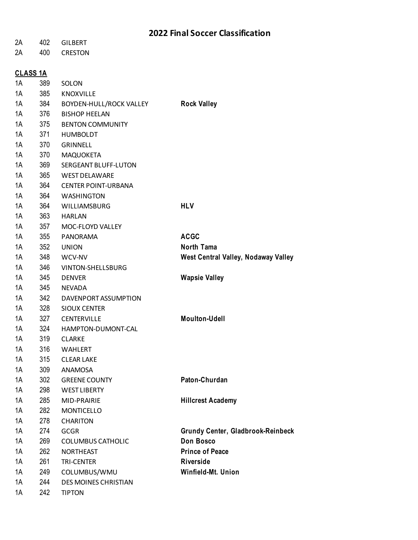| 2A | 402             | <b>GILBERT</b>                                  |                                          |
|----|-----------------|-------------------------------------------------|------------------------------------------|
| 2A | 400             | <b>CRESTON</b>                                  |                                          |
|    |                 |                                                 |                                          |
| 1A | <b>CLASS 1A</b> |                                                 |                                          |
| 1A | 389<br>385      | SOLON                                           |                                          |
| 1A | 384             | <b>KNOXVILLE</b>                                |                                          |
| 1A | 376             | BOYDEN-HULL/ROCK VALLEY<br><b>BISHOP HEELAN</b> | <b>Rock Valley</b>                       |
| 1A | 375             | <b>BENTON COMMUNITY</b>                         |                                          |
| 1A | 371             |                                                 |                                          |
| 1A | 370             | <b>HUMBOLDT</b><br><b>GRINNELL</b>              |                                          |
| 1A |                 |                                                 |                                          |
| 1A | 370<br>369      | <b>MAQUOKETA</b>                                |                                          |
|    |                 | SERGEANT BLUFF-LUTON<br><b>WEST DELAWARE</b>    |                                          |
| 1A | 365             |                                                 |                                          |
| 1A | 364             | <b>CENTER POINT-URBANA</b>                      |                                          |
| 1A | 364             | <b>WASHINGTON</b>                               |                                          |
| 1A | 364             | WILLIAMSBURG                                    | <b>HLV</b>                               |
| 1A | 363             | <b>HARLAN</b>                                   |                                          |
| 1A | 357             | MOC-FLOYD VALLEY                                |                                          |
| 1A | 355             | PANORAMA                                        | <b>ACGC</b>                              |
| 1A | 352             | <b>UNION</b>                                    | <b>North Tama</b>                        |
| 1A | 348             | WCV-NV                                          | West Central Valley, Nodaway Valley      |
| 1A | 346             | VINTON-SHELLSBURG                               |                                          |
| 1A | 345             | <b>DENVER</b>                                   | <b>Wapsie Valley</b>                     |
| 1A | 345             | <b>NEVADA</b>                                   |                                          |
| 1A | 342             | DAVENPORT ASSUMPTION                            |                                          |
| 1A | 328             | <b>SIOUX CENTER</b>                             |                                          |
| 1A | 327             | <b>CENTERVILLE</b>                              | <b>Moulton-Udell</b>                     |
| 1A | 324             | HAMPTON-DUMONT-CAL                              |                                          |
| 1A | 319             | <b>CLARKE</b>                                   |                                          |
| 1A | 316             | <b>WAHLERT</b>                                  |                                          |
| 1A | 315             | <b>CLEAR LAKE</b>                               |                                          |
| 1A | 309             | <b>ANAMOSA</b>                                  |                                          |
| 1A | 302             | <b>GREENE COUNTY</b>                            | Paton-Churdan                            |
| 1A | 298             | <b>WEST LIBERTY</b>                             |                                          |
| 1A | 285             | MID-PRAIRIE                                     | <b>Hillcrest Academy</b>                 |
| 1A | 282             | <b>MONTICELLO</b>                               |                                          |
| 1A | 278             | <b>CHARITON</b>                                 |                                          |
| 1A | 274             | <b>GCGR</b>                                     | <b>Grundy Center, Gladbrook-Reinbeck</b> |
| 1A | 269             | <b>COLUMBUS CATHOLIC</b>                        | <b>Don Bosco</b>                         |
| 1A | 262             | <b>NORTHEAST</b>                                | <b>Prince of Peace</b>                   |
| 1A | 261             | <b>TRI-CENTER</b>                               | <b>Riverside</b>                         |
| 1A | 249             | COLUMBUS/WMU                                    | Winfield-Mt. Union                       |
| 1A | 244             | <b>DES MOINES CHRISTIAN</b>                     |                                          |
| 1A | 242             | <b>TIPTON</b>                                   |                                          |